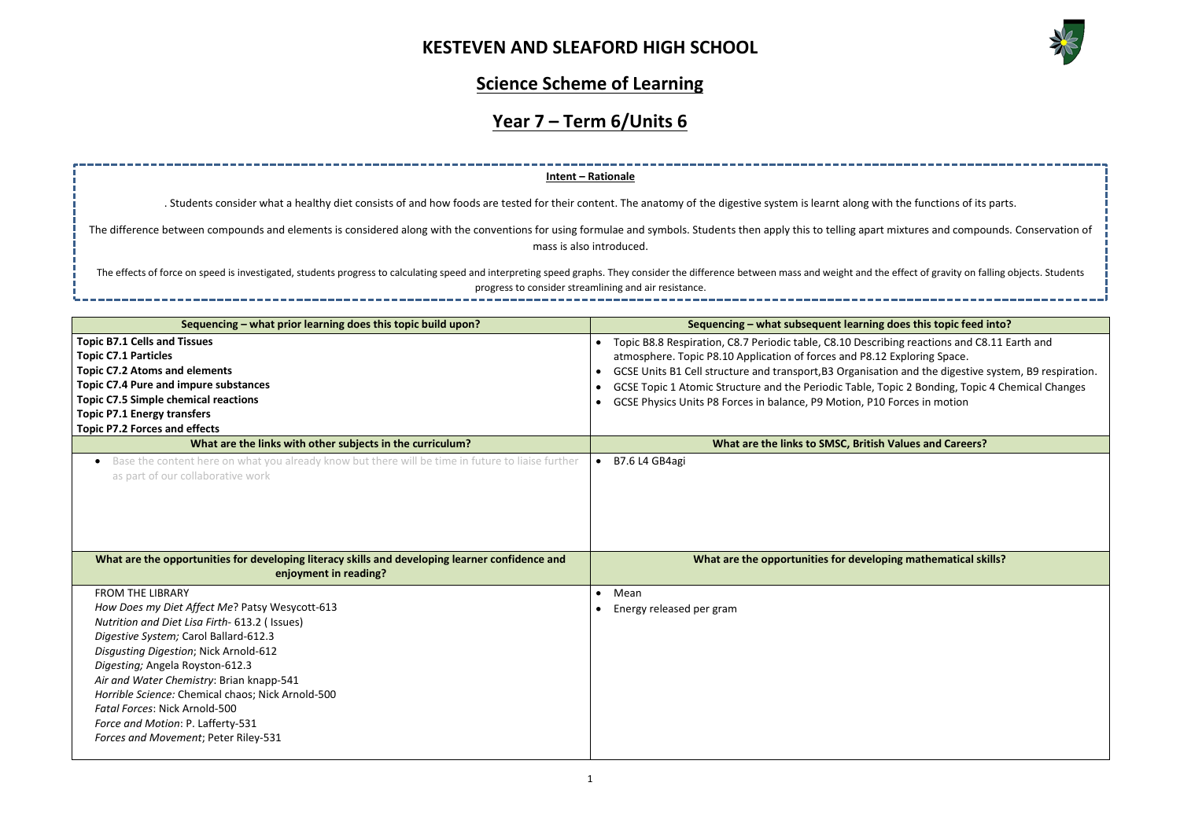

| the functions of its parts.                    |
|------------------------------------------------|
|                                                |
| nixtures and compounds. Conservation of        |
|                                                |
| effect of gravity on falling objects. Students |
|                                                |
|                                                |
| loes this topic feed into?                     |
| ng reactions and C8.11 Earth and               |
| Exploring Space.                               |
| n and the digestive system, B9 respiration.    |
| pic 2 Bonding, Topic 4 Chemical Changes        |
| orces in motion                                |
|                                                |
| <b>Jalues and Careers?</b>                     |
|                                                |
|                                                |
|                                                |
|                                                |
|                                                |
|                                                |
| ng mathematical skills?                        |
|                                                |
|                                                |
|                                                |
|                                                |
|                                                |
|                                                |
|                                                |
|                                                |

### **Science Scheme of Learning**

# **Year 7 – Term 6/Units 6**

### **Sequencing –** what prior learning does this topic build upon? **Sequencing – what subsequent learning does this topic build upon? Topic B7.1 Cells and Tissues Topic C7.1 Particles Topic C7.2 Atoms and elements Topic C7.4 Pure and impure substances Topic C7.5 Simple chemical reactions Topic P7.1 Energy transfers Topic P7.2 Forces and effects** • Topic B8.8 Respiration, C8.7 Periodic table, C8.10 Describi atmosphere. Topic P8.10 Application of forces and P8.12 E • GCSE Units B1 Cell structure and transport, B3 Organisation • GCSE Topic 1 Atomic Structure and the Periodic Table, Topic • GCSE Physics Units P8 Forces in balance, P9 Motion, P10 F **What are the links with other subjects in the curriculum? All and Careers are the links to SMSC, British Values and Careers and Careers and Careers and Careers and Careers and Careers and Careers and Car** • Base the content here on what you already know but there will be time in future to liaise further as part of our collaborative work • B7.6 L4 GB4agi **What are the opportunities for developing literacy skills and developing learner confidence and enjoyment in reading? What are the opportunities for developing** FROM THE LIBRARY *How Does my Diet Affect Me*? Patsy Wesycott-613 *Nutrition and Diet Lisa Firth*- 613.2 ( Issues) *Digestive System;* Carol Ballard-612.3 *Disgusting Digestion*; Nick Arnold-612 *Digesting;* Angela Royston-612.3 *Air and Water Chemistry*: Brian knapp-541 *Horrible Science:* Chemical chaos; Nick Arnold-500 *Fatal Forces*: Nick Arnold-500 *Force and Motion*: P. Lafferty-531 *Forces and Movement*; Peter Riley-531 • Mean • Energy released per gram **Intent – Rationale** . Students consider what a healthy diet consists of and how foods are tested for their content. The anatomy of the digestive system is learnt along with The difference between compounds and elements is considered along with the conventions for using formulae and symbols. Students then apply this to telling apart m mass is also introduced. The effects of force on speed is investigated, students progress to calculating speed and interpreting speed graphs. They consider the difference between mass and weight and the progress to consider streamlining and air resistance.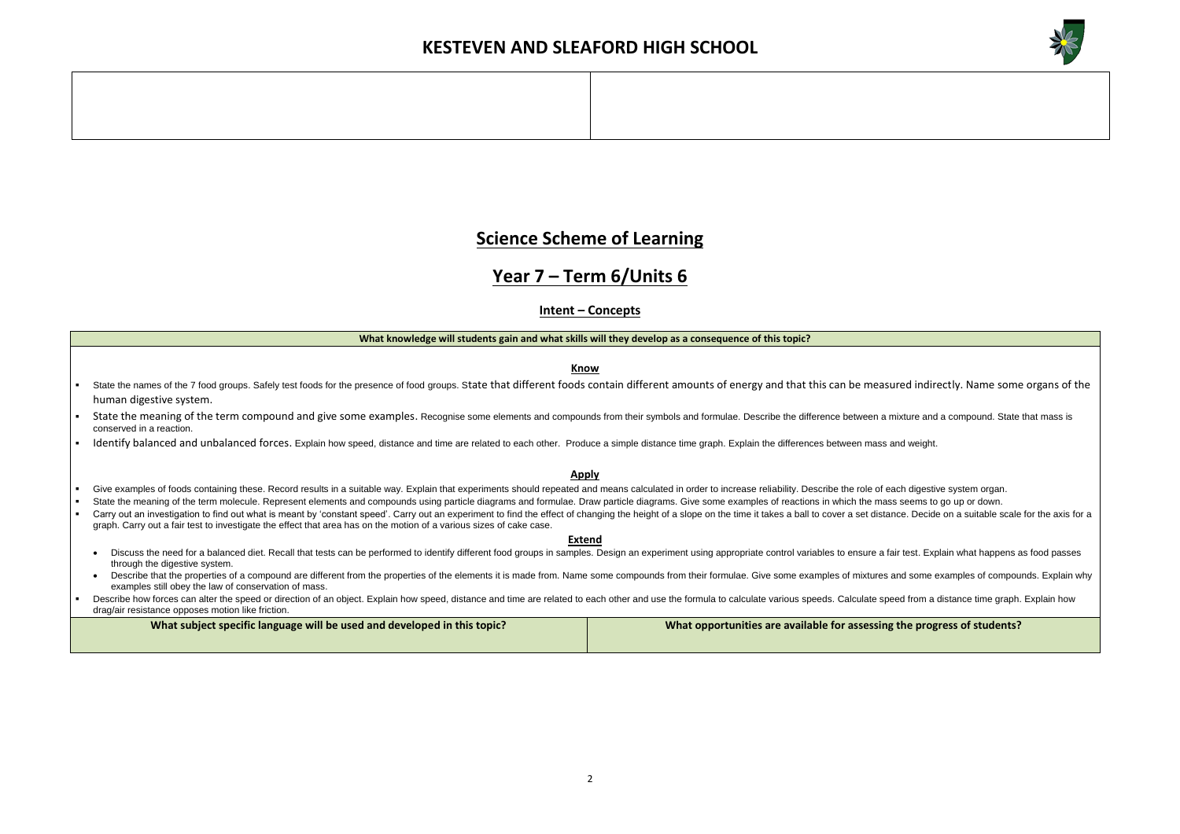

**g** the progress of students?

### **Science Scheme of Learning**

### **Year 7 – Term 6/Units 6**

#### **Intent – Concepts**

#### **What knowledge will students gain and what skills will they develop as a consequence of this topic?**

**Know**

- State the names of the 7 food groups. Safely test foods for the presence of food groups. State that different foods contain different amounts of energy and that this can be measured indirectly. Name some organs of the human digestive system.
- State the meaning of the term compound and give some examples. Recognise some elements and compounds from their symbols and formulae. Describe the difference between a mixture and a compound. State that mass is conserved in a reaction.
- Identify balanced and unbalanced forces. Explain how speed, distance and time are related to each other. Produce a simple distance time graph. Explain the differences between mass and weight.

- Give examples of foods containing these. Record results in a suitable way. Explain that experiments should repeated and means calculated in order to increase reliability. Describe the role of each digestive system organ.
- State the meaning of the term molecule. Represent elements and compounds using particle diagrams and formulae. Draw particle diagrams. Give some examples of reactions in which the mass seems to go up or down.
- Carry out an investigation to find out what is meant by 'constant speed'. Carry out an experiment to find the effect of changing the height of a slope on the time it takes a ball to cover a set distance. Decide on a suitab graph. Carry out a fair test to investigate the effect that area has on the motion of a various sizes of cake case.

#### **Apply**

- Discuss the need for a balanced diet. Recall that tests can be performed to identify different food groups in samples. Design an experiment using appropriate control variables to ensure a fair test. Explain what happens as through the digestive system.
- Describe that the properties of a compound are different from the properties of the elements it is made from. Name some compounds from their formulae. Give some examples of mixtures and some examples of compounds. Explain examples still obey the law of conservation of mass.
- Describe how forces can alter the speed or direction of an object. Explain how speed, distance and time are related to each other and use the formula to calculate various speeds. Calculate speed from a distance time graph. drag/air resistance opposes motion like friction.

| What subject specific language will be used and developed in this topic? | What opportunities are available for assessing |
|--------------------------------------------------------------------------|------------------------------------------------|
|                                                                          |                                                |

#### **Extend**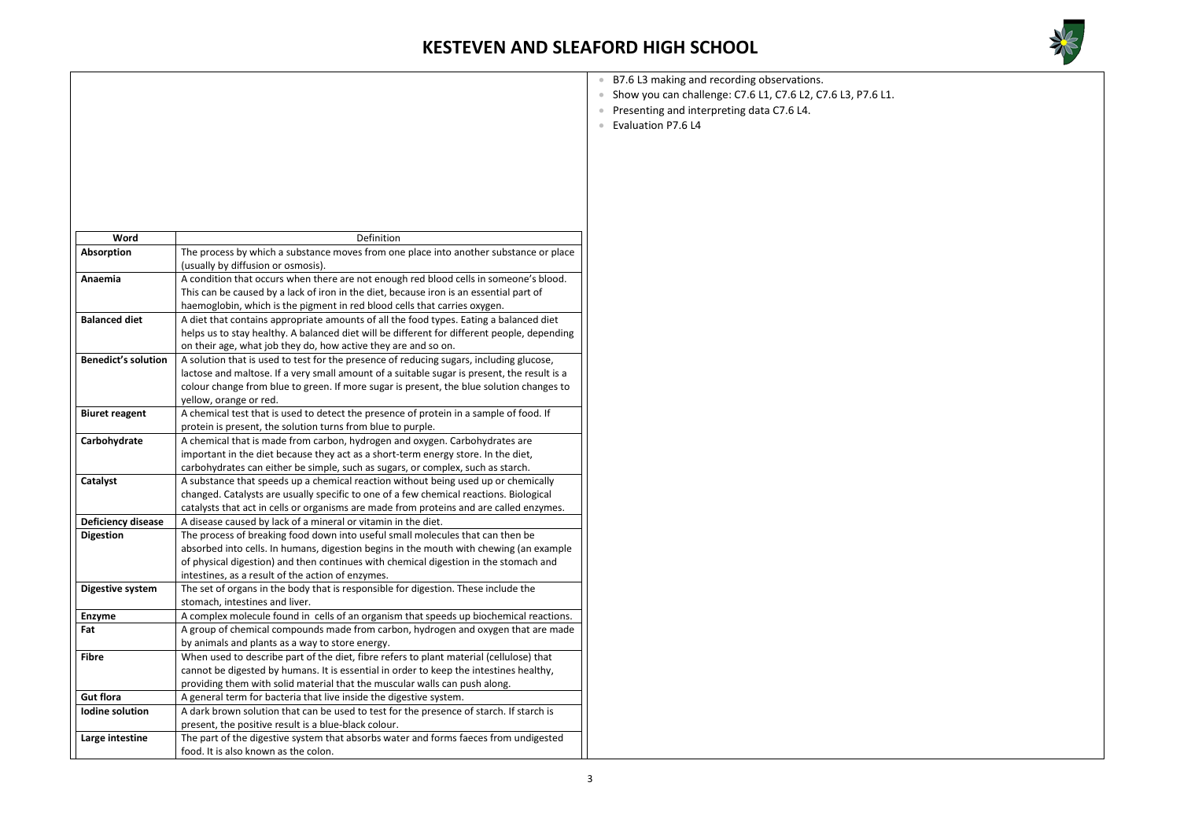

| Word                       | Definition                                                                                                                                                                                                                                                                                                            |
|----------------------------|-----------------------------------------------------------------------------------------------------------------------------------------------------------------------------------------------------------------------------------------------------------------------------------------------------------------------|
| Absorption                 | The process by which a substance moves from one place into another substance or place<br>(usually by diffusion or osmosis).                                                                                                                                                                                           |
| Anaemia                    | A condition that occurs when there are not enough red blood cells in someone's blood.<br>This can be caused by a lack of iron in the diet, because iron is an essential part of<br>haemoglobin, which is the pigment in red blood cells that carries oxygen.                                                          |
| <b>Balanced diet</b>       | A diet that contains appropriate amounts of all the food types. Eating a balanced diet<br>helps us to stay healthy. A balanced diet will be different for different people, depending<br>on their age, what job they do, how active they are and so on.                                                               |
| <b>Benedict's solution</b> | A solution that is used to test for the presence of reducing sugars, including glucose,<br>lactose and maltose. If a very small amount of a suitable sugar is present, the result is a<br>colour change from blue to green. If more sugar is present, the blue solution changes to<br>yellow, orange or red.          |
| <b>Biuret reagent</b>      | A chemical test that is used to detect the presence of protein in a sample of food. If<br>protein is present, the solution turns from blue to purple.                                                                                                                                                                 |
| Carbohydrate               | A chemical that is made from carbon, hydrogen and oxygen. Carbohydrates are<br>important in the diet because they act as a short-term energy store. In the diet,<br>carbohydrates can either be simple, such as sugars, or complex, such as starch.                                                                   |
| Catalyst                   | A substance that speeds up a chemical reaction without being used up or chemically<br>changed. Catalysts are usually specific to one of a few chemical reactions. Biological<br>catalysts that act in cells or organisms are made from proteins and are called enzymes.                                               |
| <b>Deficiency disease</b>  | A disease caused by lack of a mineral or vitamin in the diet.                                                                                                                                                                                                                                                         |
| <b>Digestion</b>           | The process of breaking food down into useful small molecules that can then be<br>absorbed into cells. In humans, digestion begins in the mouth with chewing (an example<br>of physical digestion) and then continues with chemical digestion in the stomach and<br>intestines, as a result of the action of enzymes. |
| <b>Digestive system</b>    | The set of organs in the body that is responsible for digestion. These include the<br>stomach, intestines and liver.                                                                                                                                                                                                  |
| <b>Enzyme</b>              | A complex molecule found in cells of an organism that speeds up biochemical reactions.                                                                                                                                                                                                                                |
| Fat                        | A group of chemical compounds made from carbon, hydrogen and oxygen that are made<br>by animals and plants as a way to store energy.                                                                                                                                                                                  |
| <b>Fibre</b>               | When used to describe part of the diet, fibre refers to plant material (cellulose) that<br>cannot be digested by humans. It is essential in order to keep the intestines healthy,<br>providing them with solid material that the muscular walls can push along.                                                       |
| <b>Gut flora</b>           | A general term for bacteria that live inside the digestive system.                                                                                                                                                                                                                                                    |
| <b>Iodine solution</b>     | A dark brown solution that can be used to test for the presence of starch. If starch is<br>present, the positive result is a blue-black colour.                                                                                                                                                                       |
| Large intestine            | The part of the digestive system that absorbs water and forms faeces from undigested<br>food. It is also known as the colon.                                                                                                                                                                                          |

- B7.6 L3 making and recording observations.
- Show you can challenge: C7.6 L1, C7.6 L2, C7.6 L3, P7.6 L1.
- Presenting and interpreting data C7.6 L4.
- Evaluation P7.6 L4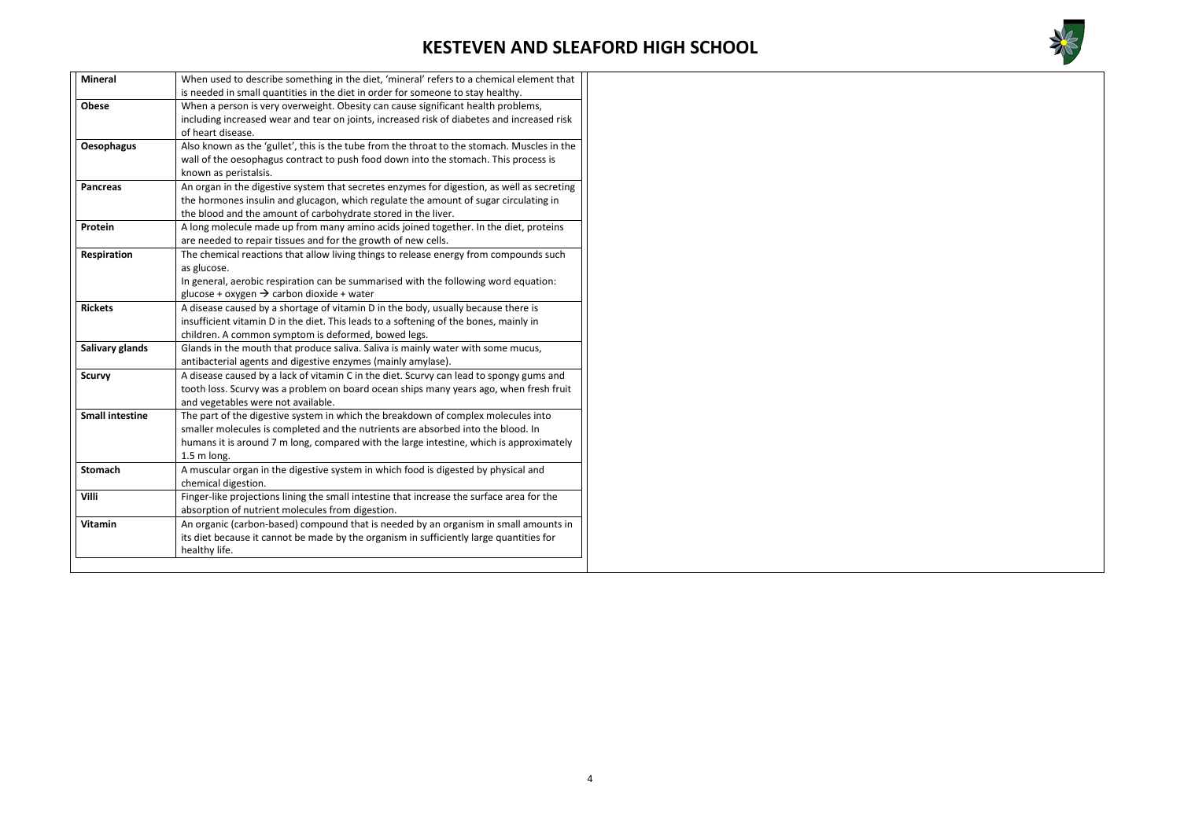

| <b>Mineral</b>                                                                                                   | When used to describe something in the diet, 'mineral' refers to a chemical element that   |  |
|------------------------------------------------------------------------------------------------------------------|--------------------------------------------------------------------------------------------|--|
|                                                                                                                  | is needed in small quantities in the diet in order for someone to stay healthy.            |  |
| <b>Obese</b>                                                                                                     | When a person is very overweight. Obesity can cause significant health problems,           |  |
|                                                                                                                  | including increased wear and tear on joints, increased risk of diabetes and increased risk |  |
|                                                                                                                  | of heart disease.                                                                          |  |
| Also known as the 'gullet', this is the tube from the throat to the stomach. Muscles in the<br><b>Oesophagus</b> |                                                                                            |  |
| wall of the oesophagus contract to push food down into the stomach. This process is                              |                                                                                            |  |
|                                                                                                                  | known as peristalsis.                                                                      |  |
| <b>Pancreas</b>                                                                                                  | An organ in the digestive system that secretes enzymes for digestion, as well as secreting |  |
|                                                                                                                  | the hormones insulin and glucagon, which regulate the amount of sugar circulating in       |  |
|                                                                                                                  | the blood and the amount of carbohydrate stored in the liver.                              |  |
| Protein                                                                                                          | A long molecule made up from many amino acids joined together. In the diet, proteins       |  |
|                                                                                                                  | are needed to repair tissues and for the growth of new cells.                              |  |
| <b>Respiration</b>                                                                                               | The chemical reactions that allow living things to release energy from compounds such      |  |
|                                                                                                                  | as glucose.                                                                                |  |
|                                                                                                                  | In general, aerobic respiration can be summarised with the following word equation:        |  |
|                                                                                                                  | glucose + oxygen $\rightarrow$ carbon dioxide + water                                      |  |
| <b>Rickets</b>                                                                                                   | A disease caused by a shortage of vitamin D in the body, usually because there is          |  |
|                                                                                                                  | insufficient vitamin D in the diet. This leads to a softening of the bones, mainly in      |  |
|                                                                                                                  | children. A common symptom is deformed, bowed legs.                                        |  |
| Salivary glands                                                                                                  | Glands in the mouth that produce saliva. Saliva is mainly water with some mucus,           |  |
|                                                                                                                  | antibacterial agents and digestive enzymes (mainly amylase).                               |  |
| <b>Scurvy</b>                                                                                                    | A disease caused by a lack of vitamin C in the diet. Scurvy can lead to spongy gums and    |  |
|                                                                                                                  | tooth loss. Scurvy was a problem on board ocean ships many years ago, when fresh fruit     |  |
|                                                                                                                  | and vegetables were not available.                                                         |  |
| <b>Small intestine</b>                                                                                           | The part of the digestive system in which the breakdown of complex molecules into          |  |
|                                                                                                                  | smaller molecules is completed and the nutrients are absorbed into the blood. In           |  |
|                                                                                                                  | humans it is around 7 m long, compared with the large intestine, which is approximately    |  |
|                                                                                                                  | 1.5 m long.                                                                                |  |
| <b>Stomach</b>                                                                                                   | A muscular organ in the digestive system in which food is digested by physical and         |  |
|                                                                                                                  | chemical digestion.                                                                        |  |
| Villi                                                                                                            | Finger-like projections lining the small intestine that increase the surface area for the  |  |
|                                                                                                                  | absorption of nutrient molecules from digestion.                                           |  |
| <b>Vitamin</b>                                                                                                   | An organic (carbon-based) compound that is needed by an organism in small amounts in       |  |
|                                                                                                                  | its diet because it cannot be made by the organism in sufficiently large quantities for    |  |
|                                                                                                                  | healthy life.                                                                              |  |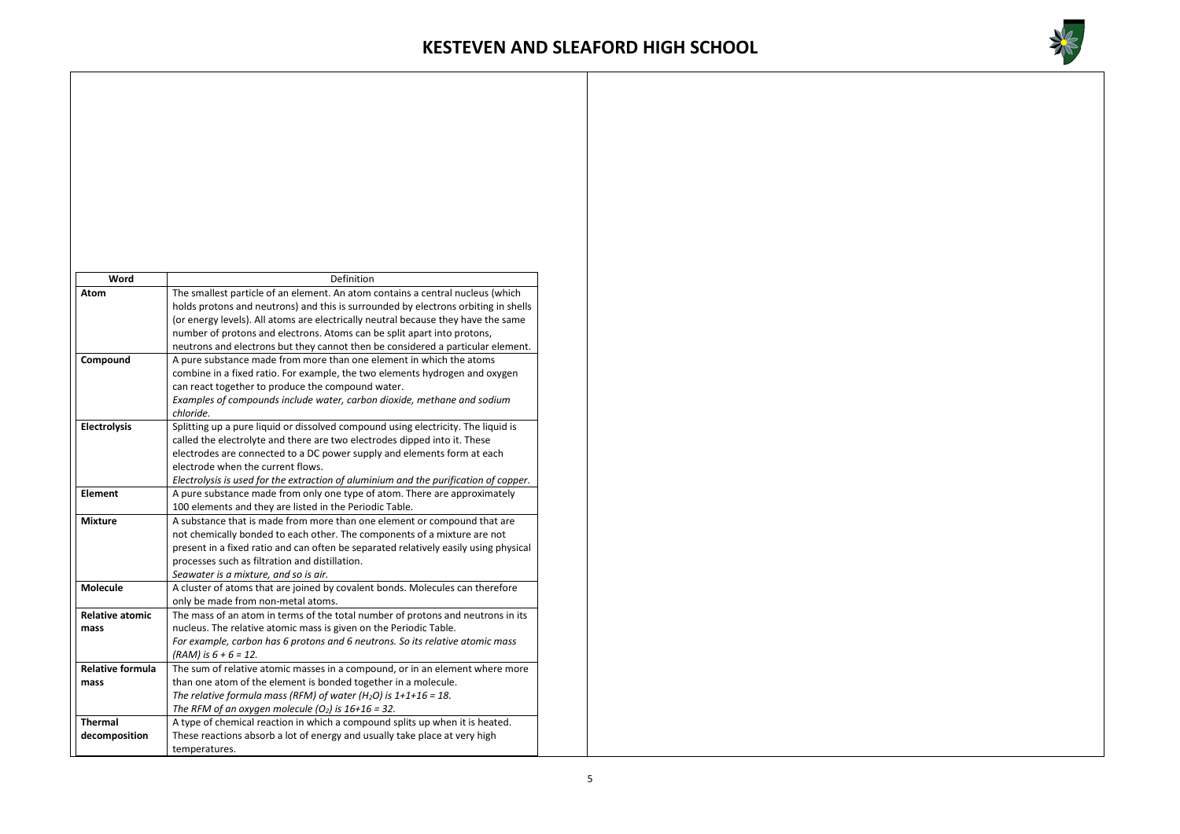

| Word<br>Definition<br>The smallest particle of an element. An atom contains a central nucleus (which<br>Atom<br>holds protons and neutrons) and this is surrounded by electrons orbiting in shells<br>(or energy levels). All atoms are electrically neutral because they have the same<br>number of protons and electrons. Atoms can be split apart into protons,<br>neutrons and electrons but they cannot then be considered a particular element.<br>A pure substance made from more than one element in which the atoms<br>Compound<br>combine in a fixed ratio. For example, the two elements hydrogen and oxygen<br>can react together to produce the compound water.<br>Examples of compounds include water, carbon dioxide, methane and sodium<br>chloride.<br><b>Electrolysis</b><br>Splitting up a pure liquid or dissolved compound using electricity. The liquid is<br>called the electrolyte and there are two electrodes dipped into it. These |
|---------------------------------------------------------------------------------------------------------------------------------------------------------------------------------------------------------------------------------------------------------------------------------------------------------------------------------------------------------------------------------------------------------------------------------------------------------------------------------------------------------------------------------------------------------------------------------------------------------------------------------------------------------------------------------------------------------------------------------------------------------------------------------------------------------------------------------------------------------------------------------------------------------------------------------------------------------------|
|                                                                                                                                                                                                                                                                                                                                                                                                                                                                                                                                                                                                                                                                                                                                                                                                                                                                                                                                                               |
|                                                                                                                                                                                                                                                                                                                                                                                                                                                                                                                                                                                                                                                                                                                                                                                                                                                                                                                                                               |
|                                                                                                                                                                                                                                                                                                                                                                                                                                                                                                                                                                                                                                                                                                                                                                                                                                                                                                                                                               |
|                                                                                                                                                                                                                                                                                                                                                                                                                                                                                                                                                                                                                                                                                                                                                                                                                                                                                                                                                               |
|                                                                                                                                                                                                                                                                                                                                                                                                                                                                                                                                                                                                                                                                                                                                                                                                                                                                                                                                                               |
|                                                                                                                                                                                                                                                                                                                                                                                                                                                                                                                                                                                                                                                                                                                                                                                                                                                                                                                                                               |
|                                                                                                                                                                                                                                                                                                                                                                                                                                                                                                                                                                                                                                                                                                                                                                                                                                                                                                                                                               |
|                                                                                                                                                                                                                                                                                                                                                                                                                                                                                                                                                                                                                                                                                                                                                                                                                                                                                                                                                               |
|                                                                                                                                                                                                                                                                                                                                                                                                                                                                                                                                                                                                                                                                                                                                                                                                                                                                                                                                                               |
|                                                                                                                                                                                                                                                                                                                                                                                                                                                                                                                                                                                                                                                                                                                                                                                                                                                                                                                                                               |
|                                                                                                                                                                                                                                                                                                                                                                                                                                                                                                                                                                                                                                                                                                                                                                                                                                                                                                                                                               |
|                                                                                                                                                                                                                                                                                                                                                                                                                                                                                                                                                                                                                                                                                                                                                                                                                                                                                                                                                               |
|                                                                                                                                                                                                                                                                                                                                                                                                                                                                                                                                                                                                                                                                                                                                                                                                                                                                                                                                                               |
| electrodes are connected to a DC power supply and elements form at each                                                                                                                                                                                                                                                                                                                                                                                                                                                                                                                                                                                                                                                                                                                                                                                                                                                                                       |
| electrode when the current flows.                                                                                                                                                                                                                                                                                                                                                                                                                                                                                                                                                                                                                                                                                                                                                                                                                                                                                                                             |
| Electrolysis is used for the extraction of aluminium and the purification of copper.                                                                                                                                                                                                                                                                                                                                                                                                                                                                                                                                                                                                                                                                                                                                                                                                                                                                          |
| <b>Element</b><br>A pure substance made from only one type of atom. There are approximately                                                                                                                                                                                                                                                                                                                                                                                                                                                                                                                                                                                                                                                                                                                                                                                                                                                                   |
| 100 elements and they are listed in the Periodic Table.                                                                                                                                                                                                                                                                                                                                                                                                                                                                                                                                                                                                                                                                                                                                                                                                                                                                                                       |
| <b>Mixture</b><br>A substance that is made from more than one element or compound that are                                                                                                                                                                                                                                                                                                                                                                                                                                                                                                                                                                                                                                                                                                                                                                                                                                                                    |
| not chemically bonded to each other. The components of a mixture are not                                                                                                                                                                                                                                                                                                                                                                                                                                                                                                                                                                                                                                                                                                                                                                                                                                                                                      |
| present in a fixed ratio and can often be separated relatively easily using physical                                                                                                                                                                                                                                                                                                                                                                                                                                                                                                                                                                                                                                                                                                                                                                                                                                                                          |
| processes such as filtration and distillation.                                                                                                                                                                                                                                                                                                                                                                                                                                                                                                                                                                                                                                                                                                                                                                                                                                                                                                                |
| Seawater is a mixture, and so is air.                                                                                                                                                                                                                                                                                                                                                                                                                                                                                                                                                                                                                                                                                                                                                                                                                                                                                                                         |
| <b>Molecule</b><br>A cluster of atoms that are joined by covalent bonds. Molecules can therefore                                                                                                                                                                                                                                                                                                                                                                                                                                                                                                                                                                                                                                                                                                                                                                                                                                                              |
| only be made from non-metal atoms.                                                                                                                                                                                                                                                                                                                                                                                                                                                                                                                                                                                                                                                                                                                                                                                                                                                                                                                            |
| The mass of an atom in terms of the total number of protons and neutrons in its<br><b>Relative atomic</b>                                                                                                                                                                                                                                                                                                                                                                                                                                                                                                                                                                                                                                                                                                                                                                                                                                                     |
| nucleus. The relative atomic mass is given on the Periodic Table.<br>mass                                                                                                                                                                                                                                                                                                                                                                                                                                                                                                                                                                                                                                                                                                                                                                                                                                                                                     |
| For example, carbon has 6 protons and 6 neutrons. So its relative atomic mass<br>$(RAM)$ is $6 + 6 = 12$ .                                                                                                                                                                                                                                                                                                                                                                                                                                                                                                                                                                                                                                                                                                                                                                                                                                                    |
| <b>Relative formula</b><br>The sum of relative atomic masses in a compound, or in an element where more                                                                                                                                                                                                                                                                                                                                                                                                                                                                                                                                                                                                                                                                                                                                                                                                                                                       |
| than one atom of the element is bonded together in a molecule.<br>mass                                                                                                                                                                                                                                                                                                                                                                                                                                                                                                                                                                                                                                                                                                                                                                                                                                                                                        |
| The relative formula mass (RFM) of water (H <sub>2</sub> O) is $1+1+16 = 18$ .                                                                                                                                                                                                                                                                                                                                                                                                                                                                                                                                                                                                                                                                                                                                                                                                                                                                                |
| The RFM of an oxygen molecule $(O_2)$ is $16+16 = 32$ .                                                                                                                                                                                                                                                                                                                                                                                                                                                                                                                                                                                                                                                                                                                                                                                                                                                                                                       |
| <b>Thermal</b><br>A type of chemical reaction in which a compound splits up when it is heated.                                                                                                                                                                                                                                                                                                                                                                                                                                                                                                                                                                                                                                                                                                                                                                                                                                                                |
| decomposition<br>These reactions absorb a lot of energy and usually take place at very high                                                                                                                                                                                                                                                                                                                                                                                                                                                                                                                                                                                                                                                                                                                                                                                                                                                                   |
| temperatures.                                                                                                                                                                                                                                                                                                                                                                                                                                                                                                                                                                                                                                                                                                                                                                                                                                                                                                                                                 |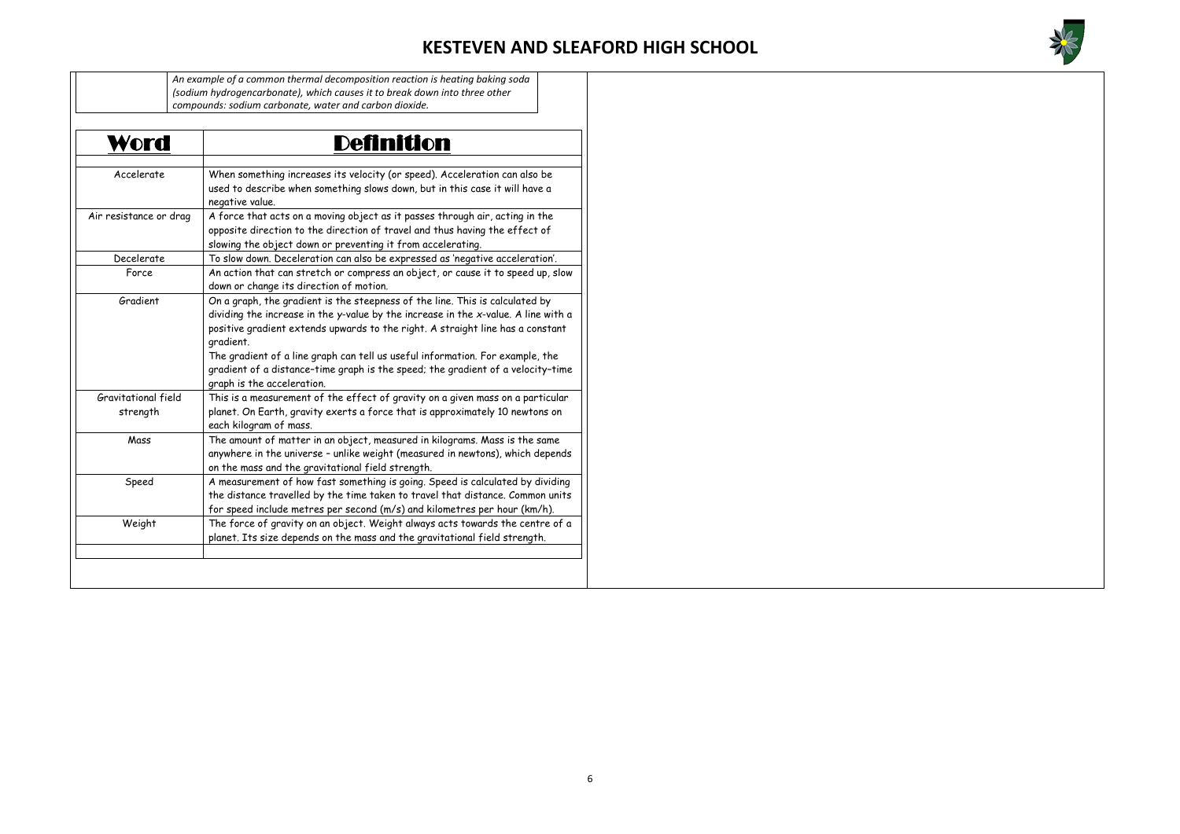

| Word                            | <b>Definition</b>                                                                                                                                                                                                                                                                                                                                                                                                                                                   |
|---------------------------------|---------------------------------------------------------------------------------------------------------------------------------------------------------------------------------------------------------------------------------------------------------------------------------------------------------------------------------------------------------------------------------------------------------------------------------------------------------------------|
| Accelerate                      | When something increases its velocity (or speed). Acceleration can also be<br>used to describe when something slows down, but in this case it will have a<br>negative value.                                                                                                                                                                                                                                                                                        |
| Air resistance or drag          | A force that acts on a moving object as it passes through air, acting in the<br>opposite direction to the direction of travel and thus having the effect of<br>slowing the object down or preventing it from accelerating.                                                                                                                                                                                                                                          |
| Decelerate                      | To slow down. Deceleration can also be expressed as 'negative acceleration'.                                                                                                                                                                                                                                                                                                                                                                                        |
| Force                           | An action that can stretch or compress an object, or cause it to speed up, slow<br>down or change its direction of motion.                                                                                                                                                                                                                                                                                                                                          |
| Gradient                        | On a graph, the gradient is the steepness of the line. This is calculated by<br>dividing the increase in the y-value by the increase in the x-value. A line with a<br>positive gradient extends upwards to the right. A straight line has a constant<br>gradient.<br>The gradient of a line graph can tell us useful information. For example, the<br>gradient of a distance-time graph is the speed; the gradient of a velocity-time<br>graph is the acceleration. |
| Gravitational field<br>strength | This is a measurement of the effect of gravity on a given mass on a particular<br>planet. On Earth, gravity exerts a force that is approximately 10 newtons on<br>each kilogram of mass.                                                                                                                                                                                                                                                                            |
|                                 | The amount of matter in an object, measured in kilograms. Mass is the same<br>anywhere in the universe - unlike weight (measured in newtons), which depends<br>on the mass and the gravitational field strength.                                                                                                                                                                                                                                                    |
| Mass                            |                                                                                                                                                                                                                                                                                                                                                                                                                                                                     |
| Speed                           | A measurement of how fast something is going. Speed is calculated by dividing<br>the distance travelled by the time taken to travel that distance. Common units<br>for speed include metres per second (m/s) and kilometres per hour (km/h).                                                                                                                                                                                                                        |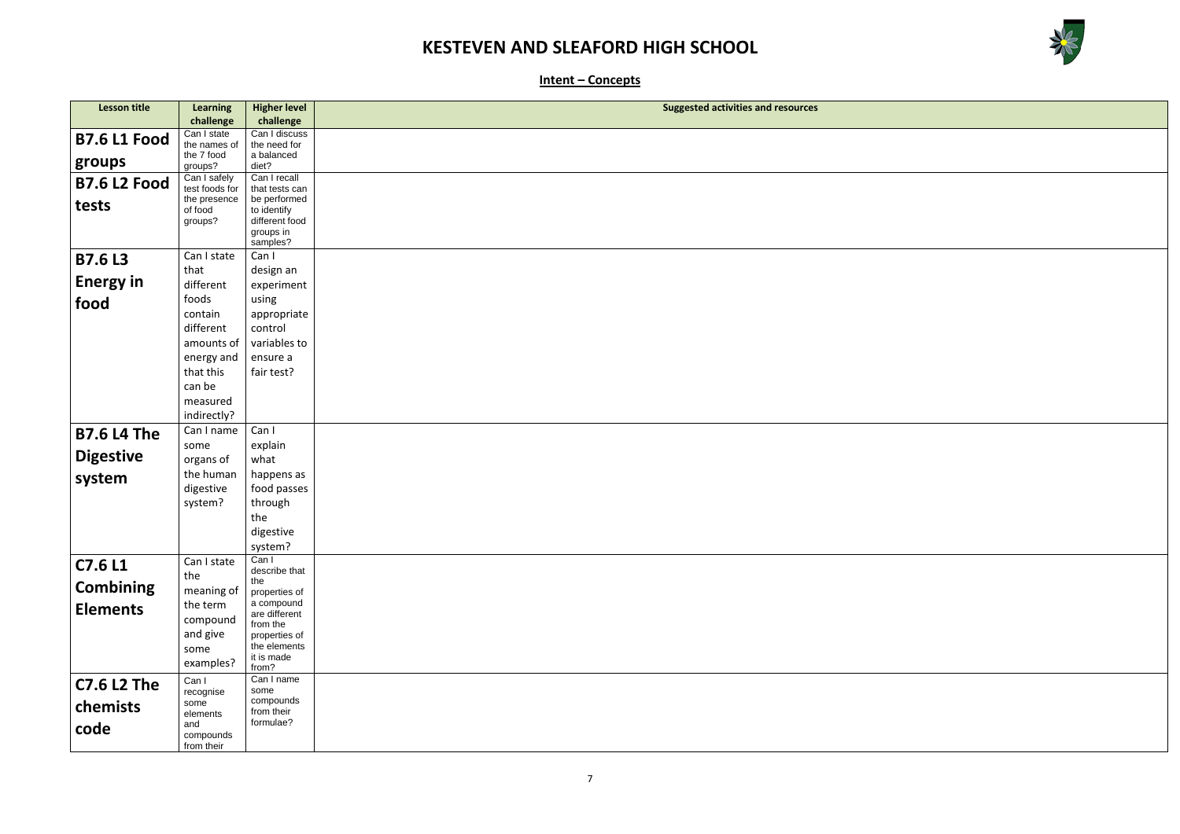

**Intent – Concepts**

| Lesson title<br><b>Higher level</b><br><b>Learning</b>                                  | <b>Suggested activities and resources</b> |
|-----------------------------------------------------------------------------------------|-------------------------------------------|
| challenge<br>challenge<br>Can I discuss                                                 |                                           |
| Can I state<br><b>B7.6 L1 Food</b><br>the names of<br>the need for                      |                                           |
| the 7 food<br>a balanced<br>groups<br>groups?<br>diet?                                  |                                           |
| Can I recall<br>Can I safely<br><b>B7.6 L2 Food</b><br>test foods for<br>that tests can |                                           |
| be performed<br>the presence<br>tests                                                   |                                           |
| to identify<br>of food<br>different food<br>groups?                                     |                                           |
| groups in                                                                               |                                           |
| samples?                                                                                |                                           |
| Can I state<br>Can I<br><b>B7.6 L3</b>                                                  |                                           |
| that<br>design an<br><b>Energy in</b>                                                   |                                           |
| different<br>experiment                                                                 |                                           |
| using<br>foods<br>food<br>contain                                                       |                                           |
| appropriate<br>different<br>control                                                     |                                           |
| variables to<br>amounts of                                                              |                                           |
| energy and<br>ensure a                                                                  |                                           |
| that this<br>fair test?                                                                 |                                           |
| can be                                                                                  |                                           |
| measured                                                                                |                                           |
| indirectly?                                                                             |                                           |
| Can I<br>Can I name<br><b>B7.6 L4 The</b>                                               |                                           |
| explain<br>some                                                                         |                                           |
| <b>Digestive</b><br>what<br>organs of                                                   |                                           |
| the human<br>happens as<br>system                                                       |                                           |
| digestive<br>food passes                                                                |                                           |
| system?<br>through                                                                      |                                           |
| the<br>digestive                                                                        |                                           |
| system?                                                                                 |                                           |
| Can I<br>Can I state<br>C7.6 L1                                                         |                                           |
| describe that<br>the<br>the                                                             |                                           |
| <b>Combining</b><br>meaning of<br>properties of                                         |                                           |
| a compound<br><b>Elements</b><br>the term<br>are different                              |                                           |
| compound<br>from the                                                                    |                                           |
| and give<br>properties of<br>the elements                                               |                                           |
| some<br>it is made                                                                      |                                           |
| examples?<br>from?                                                                      |                                           |
| Can I name<br>Can I<br><b>C7.6 L2 The</b><br>some<br>recognise                          |                                           |
| compounds<br>some<br>chemists                                                           |                                           |
| from their<br>elements<br>formulae?<br>and                                              |                                           |
| code<br>compounds                                                                       |                                           |
| from their                                                                              |                                           |